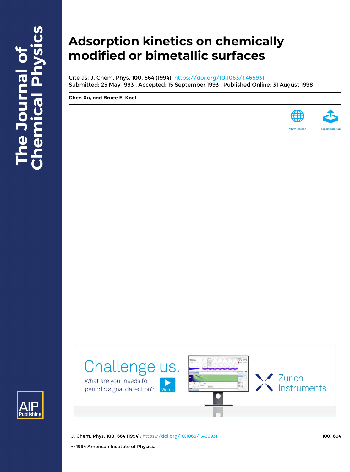# **Adsorption kinetics on chemically modified or bimetallic surfaces**

Cite as: J. Chem. Phys. **100**, 664 (1994); <https://doi.org/10.1063/1.466931> Submitted: 25 May 1993 . Accepted: 15 September 1993 . Published Online: 31 August 1998

**[Chen Xu](https://aip.scitation.org/author/Xu%2C+Chen), and [Bruce E. Koel](https://aip.scitation.org/author/Koel%2C+Bruce+E)**





J. Chem. Phys. **100**, 664 (1994); <https://doi.org/10.1063/1.466931> **100**, 664

.<br>Nato

Challenge us.

© 1994 American Institute of Physics.

What are your needs for

periodic signal detection?

**Zurich** 

Instruments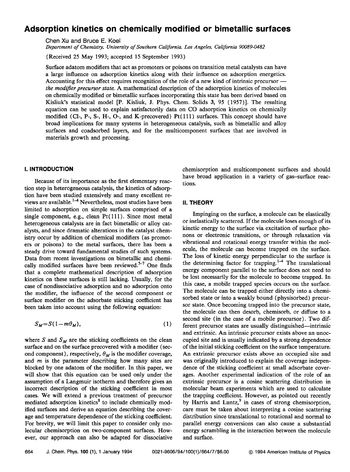# **Adsorption kinetics on chemically modified or bimetallic surfaces**

Chen Xu and Bruce E. Koel

*Department of Chemistry, University of Southern California, Los Angeles, California 90089-0482* 

(Received 25 May 1993; accepted 15 September 1993)

Surface adatom modifiers that act as promoters or poisons on transition metal catalysts can have a large influence on adsorption kinetics along with their influence on adsorption energetics. Accounting for this effect requires recognition of the role of a new kind of intrinsic precursor *the modifier precursor state.* A mathematical description of the adsorption kinetics of molecules on chemically modified or bimetallic surfaces incorporating this state has been derived based on Kisliuk's statistical model  $[P.$  Kisliuk, J. Phys. Chem. Solids 3, 95 (1957). The resulting equation can be used to explain satisfactorily data on CO adsorption kinetics on chemically modified (Cl-, P-, S-, H-, O-, and K-precovered)  $Pt(111)$  surfaces. This concept should have broad implications for many systems in heterogeneous catalysis, such as bimetallic and alloy surfaces and coadsorbed layers, and for the multicomponent surfaces that are involved in materials growth and processing.

# **I. INTRODUCTION**

Because of its importance as the first elementary reaction step in heterogeneous catalysis, the kinetics of adsorption have been studied extensively and many excellent reviews are available.<sup>1-4</sup> Nevertheless, most studies have been limited to adsorption on simple surfaces comprised of a single component, e.g., clean  $Pt(111)$ . Since most metal heterogeneous catalysts are in fact bimetallic or alloy catalysts, and since dramatic alterations in the catalyst chemistry occur by addition of chemical modifiers (as promoters or poisons) to the metal surfaces, there has been a steady drive toward fundamental studies of such systems. Data from recent investigations on bimetallic and chemically modified surfaces have been reviewed.<sup>5-7</sup> One finds that a complete mathematical description of adsorption kinetics on these surfaces is still lacking. Usually, for the case of nondissociative adsorption and no adsorption onto the modifier, the influence of the second component or surface modifier on the adsorbate sticking coefficient has been taken into account using the following equation:

$$
S_M = S(1 - m\theta_M),\tag{1}
$$

where S and  $S_M$  are the sticking coefficients on the clean surface and on the surface precovered with a modifier (second component), respectively,  $\theta_M$  is the modifier coverage, and *m* is the parameter describing how many sites are blocked by one adatom of the modifier. In this paper, we will show that this equation can be used only under the assumption of a Langmuir isotherm and therefore gives an incorrect description of the sticking coefficient in most cases. We will extend a previous treatment of precursor mediated adsorption kinetics<sup>8</sup> to include chemically modified surfaces and derive an equation describing the coverage and temperature dependence of the sticking coefficient. For brevity, we will limit this paper to consider only molecular chemisorption on two-component surfaces. However, our approach can also be adapted for dissociative

chemisorption and multicomponent surfaces and should have broad application in a variety of gas-surface reactions.

#### **II. THEORY**

Impinging on the surface, a molecule can be elastically or inelastically scattered. If the molecule loses enough of its kinetic energy to the surface via excitation of surface phonons or electronic transitions, or through relaxation via vibrational and rotational energy transfer within the molecule, the molecule can become trapped on the surface. The loss of kinetic energy perpendicular to the surface is the determining factor for trapping.<sup>1-4</sup> The translational energy component parallel to the surface does not need to be lost necessarily for the molecule to become trapped. In this case, a mobile trapped species occurs on the surface. The molecule can be trapped either directly into a chemisorbed state or into a weakly bound (physisorbed) precursor state. Once becoming trapped into the precursor state, the molecule can then desorb, chemisorb, or diffuse to a second site (in the case of a mobile precursor). Two different precursor states are usually distinguished—intrinsic and extrinsic. An intrinsic precursor exists above an unoccupied site and is usually indicated by a strong dependence of the initial sticking coefficient on the surface temperature. An extrinsic precursor exists above an occupied site and was originally introduced to explain the coverage independence of the sticking coefficient at small adsorbate coverages. Another experimental indication of the role of an extrinsic precursor is a cosine scattering distribution in molecular beam experiments which are used to calculate the trapping coefficient. However, as pointed out recently by Harris and Luntz, $9$  in cases of strong chemisorption, care must be taken about interpreting a cosine scattering distribution since translational to rotational and normal to parallel energy conversions can also cause a substantial energy scrambling in the interaction between the molecule and surface.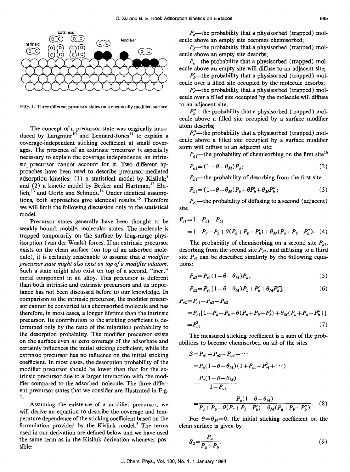

FIG. 1. Three different precursor states on a chemically modified surface.

The concept of a precursor state was originally introduced by Langmuir<sup>10</sup> and Lennard-Jones<sup>11</sup> to explain a coverage-independent sticking coefficient at small coverages. The presence of an extrinsic precursor is especially necessary to explain the coverage independence; an intrinsic precursor cannot account for it. Two different approaches have been used to describe precursor-mediated adsorption kinetics:  $(1)$  a statistical model by Kisliuk;<sup>8</sup> and  $(2)$  a kinetic model by Becker and Hartman,<sup>12</sup> Ehrlich,<sup>13</sup> and Gorte and Schmidt.<sup>14</sup> Under identical assumptions, both approaches give identical results.<sup>15</sup> Therefore we will limit the following discussion only to the statistical model.

Precursor states generally have been thought to be weakly bound, mobile, molecular states. The molecule is trapped temporarily on the surface by long-range physisorption (van der Waals) forces. **If** an extrinsic precursor exists on the clean surface (on top of an adsorbed molecule), it is certainly reasonable to assume that *a modifier precursor state might also exist on top of a modifier adatom.*  Such a state might also exist on top of a second, "inert" metal component in an alloy. This precursor is different than both intrinsic and extrinsic precursors and its importance has not been discussed before to our knowledge. **In**  comparison to the intrinsic precursor, the modifier precursor cannot be converted to a chemisorbed molecule and has therefore, in most cases, a longer lifetime than the intrinsic precursor. Its contribution to the sticking coefficient is determined only by the ratio of the migration probability to the desorption probability. The modifier precursor exists on the surface even at zero coverage of the adsorbate and certainly influences the initial sticking coefficient, while the extrinsic precursor has no influence on the initial sticking coefficient. **In** most cases, the desorption probability of the modifier precursor should be lower than that for the extrinsic precursor due to a larger interaction with the modifier compared to the adsorbed molecule. The three different precursor states that we consider are illustrated in Fig. 1.

Assuming the existence of a modifier precursor, we will derive an equation to describe the coverage and temperature dependence of the sticking coefficient based on the formulation provided by the Kisliuk model. $8$  The terms used in our derivation are defined below and we have used the same term as in the Kisliuk derivation whenever possible:

*P<sub>a</sub>*—the probability that a physisorbed (trapped) molecule above an empty site becomes chemisorbed;

 $P_b$ -the probability that a physisorbed (trapped) molecule above an empty site desorbs;

*P<sub>c</sub>*—the probability that a physisorbed (trapped) molecule above an empty site will diffuse to an adjacent site;

 $P'_{k}$ -the probability that a physisorbed (trapped) molecule over a filled site occupied by the molecule desorbs;

 $P'_{c}$ —the probability that a physisorbed (trapped) molecule over a filled site occupied by the molecule will diffuse to an adjacent site;

 $P''_b$ —the probability that a physisorbed (trapped) molecule above a filled site occupied by a surface modifier atom desorbs;

 $P''$  – the probability that a physisorbed (trapped) molecule above a filled site occupied by a surface modifier atom will diffuse to an adjacent site;

 $P_{a}$ —the probability of chemisorbing on the first site<sup>16</sup>

$$
P_{a1} = (1 - \theta - \theta_M) P_a; \tag{2}
$$

 $P_{b1}$ —the probability of desorbing from the first site

$$
P_{b1} = (1 - \theta - \theta_M)P_b + \theta P'_b + \theta_M P''_b; \qquad (3)
$$

*P<sub>cl</sub>*—the probability of diffusing to a second (adjacent) site

$$
P_{c1} = 1 - P_{a1} - P_{b1}
$$
  
= 1 - P\_a - P\_b + \theta (P\_a + P\_b - P'\_b) + \theta\_M (P\_a + P\_b - P''\_b). (4)

The probability of chemisorbing on a second site  $P_{a2}$ , desorbing from the second site  $P_{b2}$ , and diffusing to a third site  $P_{c2}$  can be described similarly by the following equations:

$$
P_{a2}=P_{c1}(1-\theta-\theta_M)P_a,\qquad\qquad(5)
$$

$$
P_{b2} = P_{c1} \left[ 1 - \theta - \theta_M \right) P_b + P'_b + \theta_M P''_b \,, \tag{6}
$$

$$
= P_{c1} [1 - P_a - P_b + \theta (P_a + P_b - P'_b) + \theta_M (P_a + P_b - P''_b)]
$$
  
=  $P_{c1}^2$ . (7)

 $P_{c2} = P_{c1} - P_{a2} - P_{b2}$ 

The measured sticking coefficient is a sum of the probabilities to become chemisorbed on all of the sites

$$
S = P_{a1} + P_{a2} + P_{a3} + \cdots
$$
  
=  $P_a (1 - \theta - \theta_M) (1 + P_{c1} + P_{c1}^2 + \cdots)$   
=  $\frac{P_a (1 - \theta - \theta_M)}{1 - P_{c1}}$   
=  $\frac{P_a (1 - \theta - \theta_M)}{P_a + P_b - \theta (P_a + P_b - P'_b) - \theta_M (P_a + P_b - P''_b)}$ . (8)

For  $\theta = \theta_M = 0$ , the initial sticking coefficient on the clean surface is given by

$$
S_0 = \frac{P_a}{P_a + P_b}.\tag{9}
$$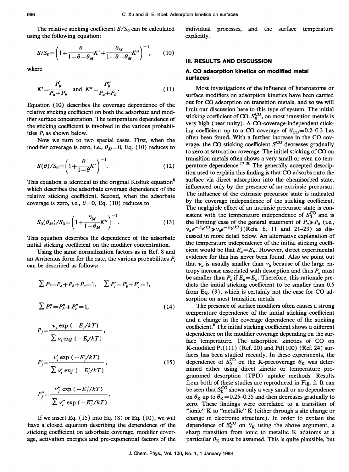The relative sticking coefficient  $S/S_0$  can be calculated using the following equation:

$$
S/S_0 = \left(1 + \frac{\theta}{1 - \theta - \theta_M} K' + \frac{\theta_M}{1 - \theta - \theta_M} K''\right)^{-1},\qquad(10)
$$

where

$$
K' = \frac{P_b'}{P_a + P_b} \text{ and } K'' = \frac{P_b''}{P_a + P_b}.
$$
 (11)

Equation (10) describes the coverage dependence of the relative sticking coefficient on both the adsorbate and modifier surface concentration. The temperature dependence of the sticking coefficient is involved in the various probabilities *Pi* as shown below.

Now we turn to two special cases. First, when the modifier coverage is zero, i.e.,  $\theta_M = 0$ , Eq. (10) reduces to

$$
S(\theta)/S_0 = \left(1 + \frac{\theta}{1 - \theta} K'\right)^{-1}.\tag{12}
$$

This equation is identical to the original Kisliuk equation<sup>8</sup> which describes the adsorbate coverage dependence of the relative sticking coefficient. Second, when the adsorbate coverage is zero, i.e.,  $\theta = 0$ , Eq. (10) reduces to

$$
S_0(\theta_M)/S_0 = \left(1 + \frac{\theta_M}{1 - \theta_M} K''\right)^{-1}.\tag{13}
$$

This equation describes the dependence of the adsorbate initial sticking coefficient on the modifier concentration.

Using the same normalization factors as in Ref. 8 and an Arrhenius form for the rate, the various probabilities *Pi*  can be described as follows:

$$
\sum P_i = P_a + P_b + P_c = 1, \quad \sum P'_i = P'_b + P'_c = 1,
$$
  

$$
\sum P''_i = P''_b + P''_c = 1,
$$
 (14)

$$
P_j = \frac{\nu_j \exp(-E_j/kT)}{\sum \nu_i \exp(-E_j/kT)},
$$
  
\n
$$
P'_j = \frac{\nu'_j \exp(-E'_j/kT)}{\sum \nu'_i \exp(-E'_i/kT)},
$$
\n(15)

$$
P_j''=\frac{v_j''\exp(-E_j''/kT)}{\sum v_i''\exp(-E_i''/kT)}.
$$

If we insert Eq.  $(15)$  into Eq.  $(8)$  or Eq.  $(10)$ , we will have a closed equation describing the dependence of the sticking coefficient on adsorbate coverage, modifier coverage, activation energies and pre-exponential factors of the individual processes, and the surface temperature explicitly.

#### **III. RESULTS AND DISCUSSION**

## **A. CO adsorption kinetics on modified metal surfaces**

Most investigations of the influence of heteroatoms or surface modifiers on adsorption kinetics have been carried out for CO adsorption on transition metals, and so we will limit our discussion here to this type of system. The initial sticking coefficient of CO,  $S_0^{\text{CO}}$ , on most transition metals is very high (near unity). A CO-coverage-independent sticking coefficient up to a CO coverage of  $\theta_{\rm CO} = 0.2 - 0.3$  has often been found. With a further increase in the CO coverage, the CO sticking coefficient  $S^{CO}$  decreases gradually to zero at saturation coverage. The initial sticking of CO on transition metals often shows a very small or even no temperature dependence.<sup>17-20</sup> The generally accepted description used to explain this finding is that CO adsorbs onto the surface via direct adsorption into the chemisorbed state, influenced only by the presence of an extrinsic precursor. The influence of the extrinsic precursor state is indicated by the coverage independence of the sticking coefficient. The negligible effect of an intrinsic precursor state is consistent with the temperature independence of  $S_0^{\text{CO}}$  and is the limiting case of the general statement of  $P_a \gg P_b$  (i.e.,  $v_a e^{-E_{\alpha}/kT} \rightarrow v_b e^{-E_b/kT}$ )(Refs. 6, 11 and 21-23) as discussed in more detail below. An alternative explanation of the temperature independence of the initial sticking coefficient would be that  $E_a=E_b$ . However, direct experimental evidence for this has never been found. Also we point out that  $v_a$  is usually smaller than  $v_b$  because of the large entropy increase associated with desorption and thus P*a* must be smaller than  $P_b$  if  $E_a=E_b$ . Therefore, this rationale predicts the initial sticking coefficient to be smaller than 0.5 from Eq. (9), which is certainly not the case for CO adsorption on most transition metals.

The presence of surface modifiers often causes a strong temperature dependence of the initial sticking coefficient and a change in the coverage dependence of the sticking coefficient.6 The initial sticking coefficient shows a different dependence on the modifier coverage depending on the surface temperature. The adsorption kinetics of CO on K-modified Pt(111) (Ref. 20) and Pd(100) (Ref. 24) surfaces has been studied recently. In these experiments, the dependence of  $S_0^{\text{CO}}$  on the K-precoverage  $\theta_K$  was determined either using direct kinetic or temperature programmed desorption (TPD) uptake methods. Results from both of these studies are reproduced in Fig. 2. It can be seen that  $S_0^{CO}$  shows only a very small or no dependence on  $\theta_K$  up to  $\theta_K$  =0.25–0.35 and then decreases gradually to zero. These findings were correlated to a transition of "ionic" K to "metallic" K (either through a site change or change in electronic structure). In order to explain the dependence of  $S_0^{\text{CO}}$  on  $\theta_{\text{K}}$  using the above argument, a sharp transition from ionic to metallic K adatoms at a particular  $\theta_K$  must be assumed. This is quite plausible, but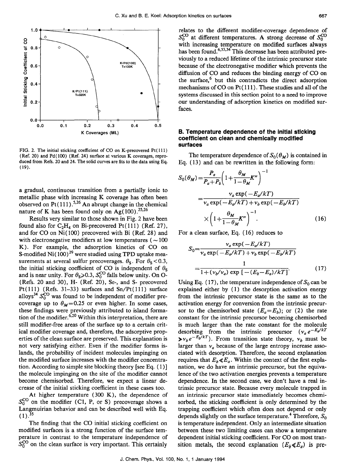

FIG. 2. The initial sticking coefficient of CO on K-precovered  $Pt(111)$ (Ref. 20) and Pd(100) (Ref. 24) surface at various K coverages, reproduced from Refs. 20 and 24. The solid curves are fits to the data using Eq. ( 19).

a gradual, continuous transition from a partially ionic to metallic phase with increasing K coverage has often been observed on Pt $(111)$ .<sup>5,26</sup> An abrupt change in the chemical nature of K has been found only on  $Ag(100).^{25,26}$ 

Results very similar to those shown in Fig. 2 have been found also for  $C_2H_4$  on Bi-precovered Pt(111) (Ref. 27), and for  $CO$  on  $Ni(100)$  precovered with Bi (Ref. 28) and with electronegative modifiers at low temperatures ( $\sim$ 100 K). For example, the adsorption kinetics of CO on S-modified Ni $(100)^{29}$  were studied using TPD uptake measurements at several sulfur precoverages.  $\theta_s$ . For  $\theta_s$  < 0.3, the initial sticking coefficient of CO is independent of  $\theta_s$  and is near unity. For  $\theta_s \ge 0.3$ ,  $S_0^{\text{CO}}$  falls below unity. On O-(Refs. 20 and 30), H- (Ref. 20), Se-, and S- precovered Pt(111) (Refs. 31-33) surfaces and  $Sn/Pt(111)$  surface alloys<sup>34</sup>  $S_0^{\text{CO}}$  was found to be independent of modifier precoverage up to  $\theta_M = 0.25$  or even higher. In some cases, these findings were previously attributed to island formation of the modifier. $620$  Within this interpretation, there are still modifier-free areas of the surface up to a certain critical modifier coverage and, therefore, the adsorptive properties of the clean surface are preserved. This explanation is not very satisfying either. Even if the modifier forms islands, the probability of incident molecules impinging on the modified surface increases with the modifier concentration. According to simple site blocking theory [see Eq. (1)] the molecule impinging on the site of the modifier cannot become chemisorbed. Therefore, we expect a linear decrease of the initial sticking coefficient in these cases too.

At higher temperature (300 K), the dependence of  $S_0^{\text{CO}}$  on the modifier (C1, P, or S) precoverage shows a Langmuirian behavior and can be described well with Eq.  $(1).^{35}$ 

The finding that the CO initial sticking coefficient on modified surfaces is a strong function of the surface temperature in contrast to the temperature independence of  $S_0^{\text{CO}}$  on the clean surface is very important. This certainly

relates to the different modifier-coverage dependence of  $S_0^{\rm CO}$  at different temperatures. A strong decrease of  $S_0^{\rm CO}$ with increasing temperature on modified surfaces always has been found.<sup>6,33,34</sup> This decrease has been attributed previously to a reduced lifetime of the intrinsic precursor state because of the electronegative modifier which prevents the diffusion of CO and reduces the binding energy of CO on the surface, $6$  but this contradicts the direct adsorption mechanisms of CO on Pt ( 111 ). These studies and all of the systems discussed in this section point to a need to improve our understanding of adsorption kinetics on modified surfaces.

#### **B. Temperature dependence of the Initial sticking coefficient on clean and chemically modified surfaces**

The temperature dependence of  $S_0(\theta_M)$  is contained in Eq. (13) and can be rewritten in the following form:

$$
S_0(\theta_M) = \frac{P_a}{P_a + P_b} \left( 1 + \frac{\theta_M}{1 - \theta_M} K'' \right)^{-1}
$$

$$
= \frac{v_a \exp(-E_a / kT)}{v_a \exp(-E_a / kT) + v_b \exp(-E_b / kT)}
$$

$$
\times \left( 1 + \frac{\theta_M}{1 - \theta_M} K'' \right)^{-1} . \tag{16}
$$

For a clean surface, Eq. (16) reduces to

$$
S_0 = \frac{\nu_a \exp(-E_a/kT)}{\nu_a \exp(-E_a/kT) + \nu_b \exp(-E_b/kT)}
$$

$$
= \frac{1}{1 + (\nu_b/\nu_a) \exp[-(E_b - E_a)/kT]}.
$$
(17)

Using Eq. (17), the temperature independence of  $S_0$  can be explained either by (1) the desorption activation energy from the intrinsic precursor state is the same as to the activation energy for conversion from the intrinsic precursor to the chemisorbed state  $(E_a=E_b)$ ; or (2) the rate constant for the intrinsic precursor becoming chemisorbed is much larger than the rate constant for the molecule desorbing from the intrinsic precursor  $(v_a e^{-E_a/kT})$  $\triangleright v_b e^{-E_b/kT}$ . From transition state theory,  $v_b$  must be larger than  $v_a$  because of the large entropy increase associated with desorption. Therefore, the second explanation requires that  $E_b \ll E_a$ . Within the context of the first explanation, we do have an intrinsic precursor, but the equivalence of the two activation energies prevents a temperature dependence. In the second case, we don't have a real intrinsic precursor state. Because every molecule trapped in an intrinsic precursor state immediately becomes chemisorbed, the sticking coefficient is only determined by the trapping coefficient which often does not depend or only depends slightly on the surface temperature.<sup>4</sup> Therefore,  $S_0$ is temperature independent. Only an intermediate situation between these two limiting cases can show a temperature dependent initial sticking coefficient. For CO on most transition metals, the second explanation  $(E_b \ll E_a)$  is pre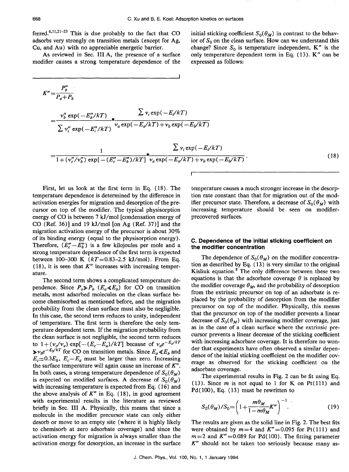ferred.<sup>6,11,21-23</sup> This is due probably to the fact that CO adsorbs very strongly on transition metals (except for Ag, Cu, and Au) with no appreciable energetic barrier.

As reviewed in Sec. **III** A, the presence of a surface modifier causes a strong temperature dependence of the

initial sticking coefficient  $S_0(\theta_M)$  in contrast to the behavior of  $S_0$  on the clean surface. How can we understand this change? Since  $S_0$  is temperature independent, K" is the only temperature dependent term in Eq. (13). K" can be expressed as follows:

$$
K'' = \frac{P_b''}{P_a + P_b}
$$
  
=  $\frac{\nu_b'' \exp(-E_b''/kT)}{\sum \nu_i'' \exp(-E_i''/kT)} \star \frac{\sum \nu_i \exp(-E_i/kT)}{\nu_a \exp(-E_a/kT) + \nu_b \exp(-E_b/kT)}$   
=  $\frac{1}{1 + (\nu_c''/\nu_b'') \exp[-(E_c'' - E_b'')/kT]} \star \frac{\sum \nu_i \exp(-E_i/kT)}{\nu_a \exp(-E_a/kT) + \nu_b \exp(-E_b/kT)}$  (18)

First, let us look at the first term in Eq. (18). The temperature dependence is determined by the difference in activation energies for migration and desorption of the precursor on top of the modifier. The typical physisorption energy of CO is between 7 kJ/mol [condensation energy of CO (Ref. 36)] and 19 *kJ/mol* [on Ag (Ref. 37)] and the migration activation energy of the precursor is about 30% of its binding energy (equal to the physisorption energy). Therefore,  $(E''_c - E''_b)$  is a few kilojoules per mole and a strong temperature dependence of the first term is expected between 100-300 K *(kT=0.83-2.5 kJ/mol).* From Eq. (18), it is seen that *K"* increases with increasing temperature.

The second term shows a complicated temperature dependence. Since  $P_a \gg P_b$  ( $E_a \ll E_b$ ) for CO on transition metals, most adsorbed molecules on the clean surface become chemisorbed as mentioned before, and the migration probability from the clean surface must also be negligible. In this case, the second term reduces to unity, independent of temperature. The first term is therefore the only temperature dependent term. If the migration probability from the clean surface is not negligible, the second term reduces to  $1 + (v_c/v_a) \exp[-(E_c-E_a)/kT]$  because of  $v_a e^{-E_a/kT}$  $\triangleright v_h e^{-E_b/kT}$  for CO on transition metals. Since  $E_a \ll E_b$  and  $E_c \approx 0.3E_b$ ,  $E_c - E_a$  must be larger than zero. Increasing the surface temperature will again cause an increase of *K".*  In both cases, a strong temperature dependence of  $S_0(\theta_M)$ is expected on modified surfaces. A decrease of  $S_0(\theta_M)$ with increasing temperature is expected from Eq. (16) and the above analysis of  $K''$  in Eq. (18), in good agreement with experimental results in the literature as reviewed briefly in Sec. **III** A. Physically, this means that since a molecule in the modifier precursor state can only either desorb or move to an empty site (where it is highly likely to chemisorb at zero adsorbate coverage) and since the activation energy for migration is always smaller than the activation energy for desorption, an increase in the surface temperature causes a much stronger increase in the desorption rate constant than that for migration out of the modifier precursor state. Therefore, a decrease of  $S_0(\theta_M)$  with increasing temperature should be seen on modifierprecovered surfaces.

## **c. Dependence of the initial sticking coefficient on the modifier concentration**

The dependence of  $S_0(\theta_M)$  on the modifier concentration as described by Eq. (13) is very similar to the original Kisliuk equation. $8$  The only difference between these two equations is that the adsorbate coverage  $\theta$  is replaced by the modifier coverage  $\theta_M$ , and the probability of desorption from the extrinsic precursor on top of an adsorbate is replaced by the probability of desorption from the modifier precursor on top of the modifier. Physically, this means that the precursor on top of the modifier prevents a linear decrease of  $S_0(\theta_M)$  with increasing modifier coverage, just as in the case of a clean surface where the extrinsic precursor prevents a linear decrease of the sticking coefficient with increasing adsorbate coverage. It is therefore no wonder that experiments have often observed a similar dependence of the initial sticking coefficient on the modifier coverage as observed for the sticking coefficient on the adsorbate coverage.

The experimental results in Fig. 2 can be fit using Eq. (13). Since  $m$  is not equal to 1 for K on Pt (111) and Pd(100), Eq. (13) must be rewritten to

$$
S_0(\theta_M)/S_0 = \left(1 + \frac{m\theta_M}{1 - m\theta_M}K''\right)^{-1}.\tag{19}
$$

The results are given as the solid line in Fig. 2. The best fits were obtained by  $m=4$  and  $K'' = 0.095$  for Pt(111) and  $m=2$  and  $K''=0.089$  for Pd(100). The fitting parameter K" should not be taken too seriously because many as-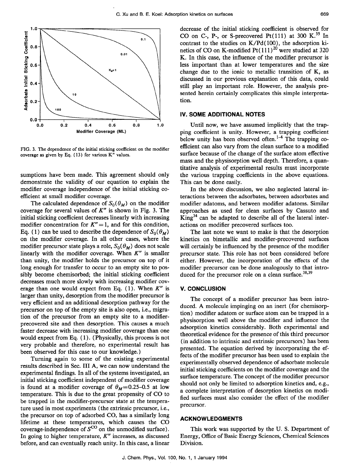

FIG. 3. The dependence of the initial sticking coefficient on the modifier coverage as given by Eq. (13) for various K" values.

sumptions have been made. This agreement should only demonstrate the validity of our equation to explain the modifier coverage independence of the initial sticking coefficient at small modifier coverage.

The calculated dependence of  $S_0(\theta_M)$  on the modifier coverage for several values of *K"* is shown in Fig. 3. The initial sticking coefficient decreases linearly with increasing modifier concentration for  $K'' = 1$ , and for this condition, Eq. (1) can be used to describe the dependence of  $S_0(\theta_M)$ on the modifier coverage. In all other cases, where the modifier precursor state plays a role,  $S_0(\theta_M)$  does not scale linearly with the modifier coverage. When *K"* is smaller than unity, the modifier holds the precursor on top of it long enough for transfer to occur to an empty site to possibly become chemisorbed; the initial sticking coefficient decreases much more slowly with increasing modifier coverage than one would expect from Eq. (1). When *K"* is larger than unity, desorption from the modifier precursor is very efficient and an additional desorption pathway for the precursor on top of the empty site is also open, i.e., migration of the precursor from an empty site to a modifierprecovered site and then desorption. This causes a much faster decrease with increasing modifier coverage than one would expect from Eq. (1). (Physically, this process is not very probable and therefore, no experimental result has been observed for this case to our knowledge.)

Turning again to some of the existing experimental results described in Sec. **III** A, we can now understand the experimental findings. In all of the systems investigated, an initial sticking coefficient independent of modifier coverage is found at a modifier coverage of  $\theta_M$ =0.25-0.5 at low temperature. This is due to the great propensity of CO to be trapped in the modifier-precursor state at the temperature used in most experiments (the extrinsic precursor, i.e., the precursor on top of adsorbed CO, has a similarly long lifetime at these temperatures, which causes the CO coverage-independence of  $S^{CO}$  on the unmodified surface). In going to higher temperature, *K"* increases, as discussed before, and can eventually reach unity. In this case, a linear

decrease of the initial sticking coefficient is observed for CO on C-, P-, or S-precovered Pt $(111)$  at 300 K.<sup>35</sup> In contrast to the studies on  $K/Pd(100)$ , the adsorption kinetics of CO on K-modified Pt $(111)^{20}$  were studied at 320 K. In this case, the influence of the modifier precursor is less important than at lower temperatures and the size change due to the ionic to metallic transition of K, as discussed in our previous explanation of this data, could still play an important role. However, the analysis presented herein certainly complicates this simple interpretation.

# **IV. SOME ADDITIONAL NOTES**

Until now, we have assumed implicitly that the trapping coefficient is unity. However, a trapping coefficient below unity has been observed often.<sup>1-4</sup> The trapping coefficient can also vary from the clean surface to a modified surface because of the change of the surface atom effective mass and the physisorption well depth. Therefore, a quantitative analysis of experimental results must incorporate the various trapping coefficients in the above equations. This can be done easily.

In the above discussion, we also neglected lateral interactions between the adsorbates, between adsorbates and modifier adatoms, and between modifier adatoms. Similar approaches as used for clean surfaces by Cassuto and  $King<sup>34</sup>$  can be adapted to describe all of the lateral interactions on modifier precovered surfaces too.

The last note we want to make is that the desorption kinetics on bimetallic and modifier-precovered surfaces will certainly be influenced by the presence of the modifier precursor state. This role has not been considered before either. However, the incorporation of the effects of the modifier precursor can be done analogously to that introduced for the precursor role on a clean surface.<sup>38,39</sup>

# **V. CONCLUSION**

The concept of a modifier precursor has been introduced. A molecule impinging on an inert (for chemisorption) modifier adatom or surface atom can be trapped in a physisorption well above the modifier and influence the adsorption kinetics considerably. Both experimental and theoretical evidence for the presence of this third precursor (in addition to intrinsic and extrinsic precursors) has been presented. The equation derived by incorporating the effects of the modifier precursor has been used to explain the experimentally observed dependence of adsorbate molecule initial sticking coefficients on the modifier coverage and the surface temperature. The concept of the modifier precursor should not only be limited to adsorption kinetics and, e.g., a complete interpretation of desorption kinetics on modified surfaces must also consider the effect of the modifier precursor.

#### **ACKNOWLEDGMENTS**

This work was supported by the U. S. Department of Energy, Office of Basic Energy Sciences, Chemical Sciences Division.